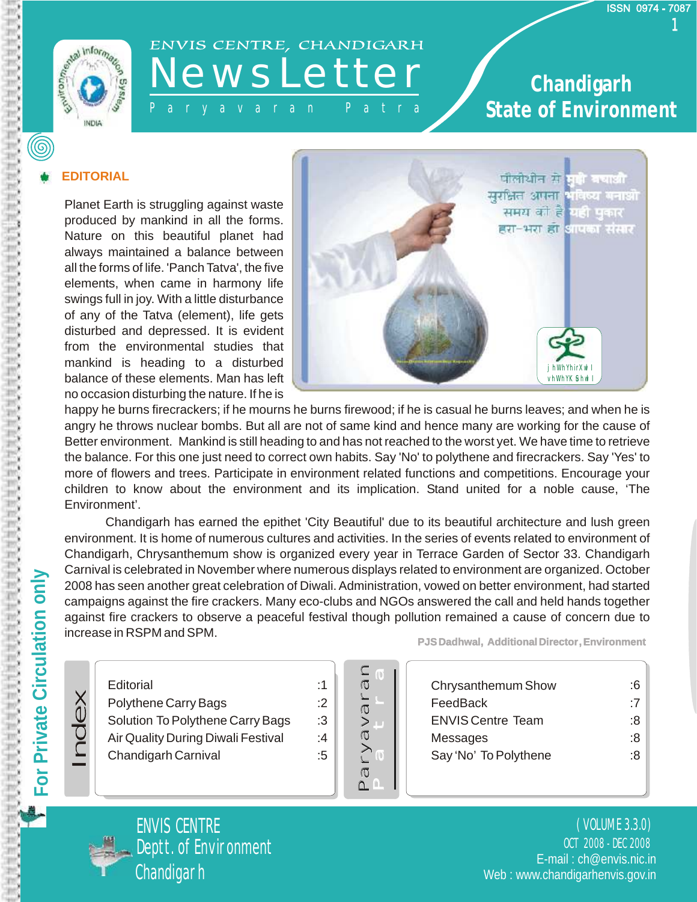

# ENVIS CENTRE, CHANDIGARH

#### P a r y a v a r a n P a t r a **State Chandigarh State of Environment**

#### **EDITORIAL**

Planet Earth is struggling against waste produced by mankind in all the forms. Nature on this beautiful planet had always maintained a balance between all the forms of life. 'Panch Tatva', the five elements, when came in harmony life swings full in joy. With a little disturbance of any of the Tatva (element), life gets disturbed and depressed. It is evident from the environmental studies that mankind is heading to a disturbed balance of these elements. Man has left no occasion disturbing the nature. If he is



happy he burns firecrackers; if he mourns he burns firewood; if he is casual he burns leaves; and when he is angry he throws nuclear bombs. But all are not of same kind and hence many are working for the cause of Better environment. Mankind is still heading to and has not reached to the worst yet. We have time to retrieve the balance. For this one just need to correct own habits. Say 'No' to polythene and firecrackers. Say 'Yes' to more of flowers and trees. Participate in environment related functions and competitions. Encourage your children to know about the environment and its implication. Stand united for a noble cause, 'The Environment'.

Chandigarh has earned the epithet 'City Beautiful' due to its beautiful architecture and lush green environment. It is home of numerous cultures and activities. In the series of events related to environment of Chandigarh, Chrysanthemum show is organized every year in Terrace Garden of Sector 33. Chandigarh Carnival is celebrated in November where numerous displays related to environment are organized. October 2008 has seen another great celebration of Diwali. Administration, vowed on better environment, had started campaigns against the fire crackers. Many eco-clubs and NGOs answered the call and held hands together against fire crackers to observe a peaceful festival though pollution remained a cause of concern due to increase in RSPM and SPM.

#### **Editorial**

Polythene Carry Bags Solution To Polythene Carry Bags

- Air Quality During Diwali Festival
- Chandigarh Carnival



:1 :2 :3 :4 :5

**PJS Dadhwal, Additional Director, Environment** 

| Chrysanthemum Show       | :6 |
|--------------------------|----|
| FeedBack                 | :7 |
| <b>ENVIS Centre Team</b> | 8: |
| Messages                 | 8: |
| Say 'No' To Polythene    | ۰8 |
|                          |    |



Index

OCT 2008 - DEC 2008 ( VOLUME 3.3.0) Deptt. of Environment and Contract E-mail : ch@envis.nic.in Web : www.chandigarhenvis.gov.in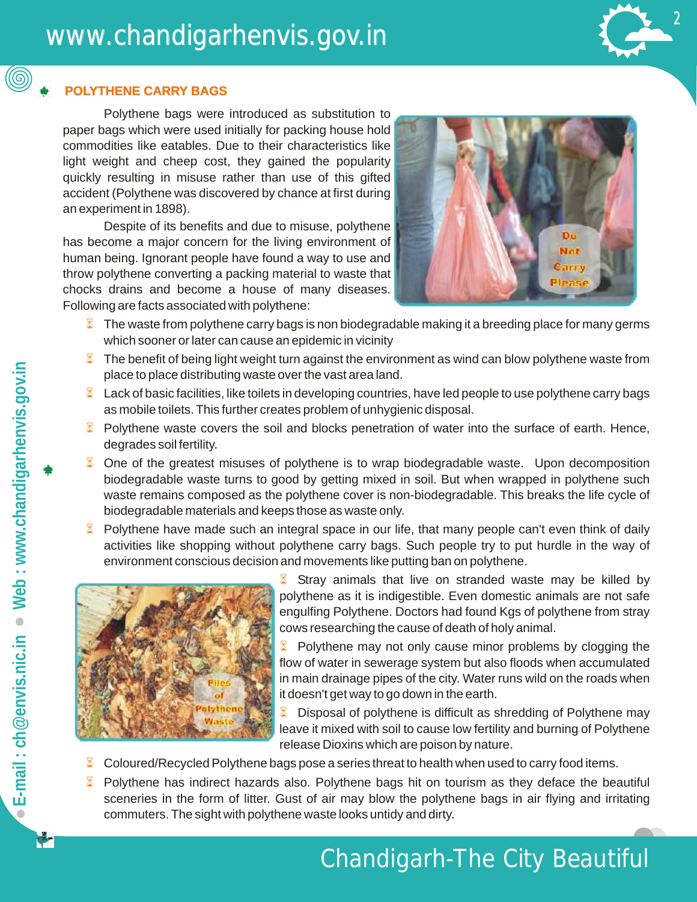### www.chandigarhenvis.gov.in



#### **POLYTHENE CARRY BAGS BAGS**

Polythene bags were introduced as substitution to paper bags which were used initially for packing house hold commodities like eatables. Due to their characteristics like light weight and cheep cost, they gained the popularity quickly resulting in misuse rather than use of this gifted accident (Polythene was discovered by chance at first during an experiment in 1898).

Despite of its benefits and due to misuse, polythene has become a major concern for the living environment of human being. Ignorant people have found a way to use and throw polythene converting a packing material to waste that chocks drains and become a house of many diseases. Following are facts associated with polythene:



- $\delta$  The waste from polythene carry bags is non biodegradable making it a breeding place for many germs which sooner or later can cause an epidemic in vicinity
- $\delta$  The benefit of being light weight turn against the environment as wind can blow polythene waste from place to place distributing waste over the vast area land.
- $\&$  Lack of basic facilities, like toilets in developing countries, have led people to use polythene carry bags as mobile toilets. This further creates problem of unhygienic disposal.
- **•** Polythene waste covers the soil and blocks penetration of water into the surface of earth. Hence, degrades soil fertility.
- **8** One of the greatest misuses of polythene is to wrap biodegradable waste. Upon decomposition biodegradable waste turns to good by getting mixed in soil. But when wrapped in polythene such waste remains composed as the polythene cover is non-biodegradable. This breaks the life cycle of biodegradable materials and keeps those as waste only.
- **8** Polythene have made such an integral space in our life, that many people can't even think of daily activities like shopping without polythene carry bags. Such people try to put hurdle in the way of environment conscious decision and movements like putting ban on polythene.



Stray animals that live on stranded waste may be killed by polythene as it is indigestible. Even domestic animals are not safe engulfing Polythene. Doctors had found Kgs of polythene from stray cows researching the cause of death of holy animal.

• Polythene may not only cause minor problems by clogging the flow of water in sewerage system but also floods when accumulated in main drainage pipes of the city. Water runs wild on the roads when it doesn't get way to go down in the earth.

**• Disposal of polythene is difficult as shredding of Polythene may** leave it mixed with soil to cause low fertility and burning of Polythene release Dioxins which are poison by nature.

- Coloured/Recycled Polythene bags pose a series threat to health when used to carry food items. 8
- sceneries in the form of litter. Gust of air may blow the polythene bags in air flying and irritating commuters. The sight with polythene waste looks untidy and dirty. Polythene has indirect hazards also. Polythene bags hit on tourism as they deface the beautiful  $\boxtimes$

(@)

### Chandigarh-The City Beautiful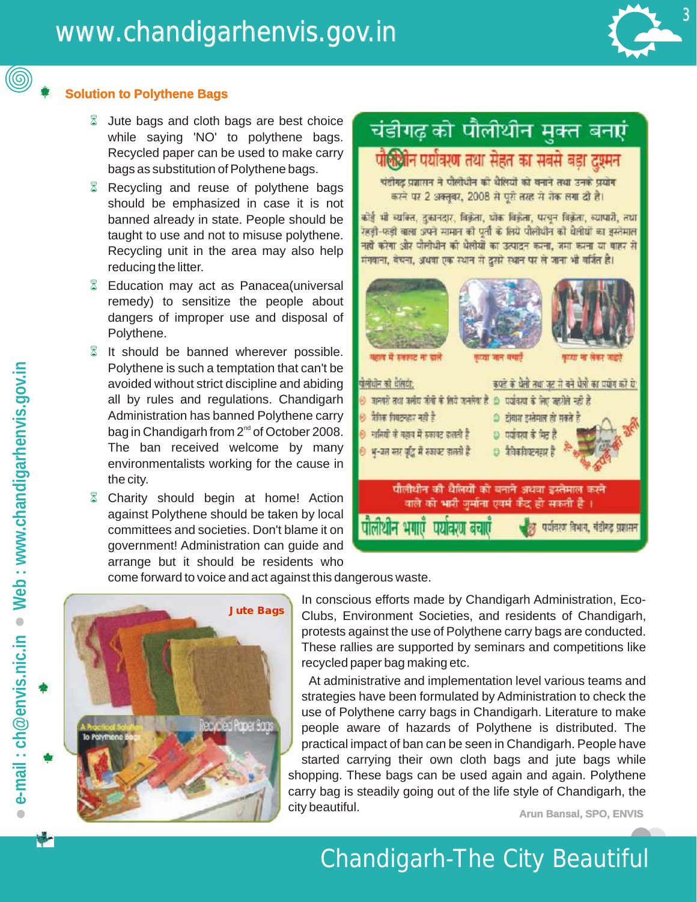

#### **Solution to Polythene Bags Bags**

- **Jute bags and cloth bags are best choice** while saying 'NO' to polythene bags. Recycled paper can be used to make carry bags as substitution of Polythene bags.
- **EX** Recycling and reuse of polythene bags should be emphasized in case it is not banned already in state. People should be taught to use and not to misuse polythene. Recycling unit in the area may also help reducing the litter.
- **Education may act as Panacea (universal** remedy) to sensitize the people about dangers of improper use and disposal of Polythene.
- It should be banned wherever possible. Polythene is such a temptation that can't be avoided without strict discipline and abiding all by rules and regulations. Chandigarh Administration has banned Polythene carry bag in Chandigarh from 2<sup>nd</sup> of October 2008. The ban received welcome by many environmentalists working for the cause in the city.
- Charity should begin at home! Action against Polythene should be taken by local committees and societies. Don't blame it on government! Administration can guide and arrange but it should be residents who

### चंडीगढ़ को पौलीथीन मुक्त बनाएं

### पौलियोन पर्यावरण तथा सेहत का सबसे बड़ा दुश्मन

चंदीगढ़ प्रजासन ने पौलीधीन की थेलियों को बनाने तथा उनके प्रयोग करने पर 2 अक्तूबर, 2008 से पूरी तरह से रोक लगा दी है।

कोई भी व्यक्ति, दुकानदार, विक्रेता, थोक विक्रेता, परचून विक्रेता, व्यापारी, तथा रहड़ी-फड़ी बाला अपने सामान को पूर्ती के लिये पोलीधीन को बेलीयों का इस्तेमाल नहीं करेगा और पोलीधीन को धैलीयों का उत्पादन करना, जमा करना या बाहर से मंगवाना, बंचना, अथवा एक स्थान से दूसरे स्थान पर ले जाना भी वर्जित है।



come forward to voice and act against this dangerous waste.



In conscious efforts made by Chandigarh Administration, Eco-Clubs, Environment Societies, and residents of Chandigarh, protests against the use of Polythene carry bags are conducted. These rallies are supported by seminars and competitions like recycled paper bag making etc.

**Arun Bansal, SPO, ENVIS** city beautiful. **ENVIS**  At administrative and implementation level various teams and strategies have been formulated by Administration to check the use of Polythene carry bags in Chandigarh. Literature to make people aware of hazards of Polythene is distributed. The practical impact of ban can be seen in Chandigarh. People have started carrying their own cloth bags and jute bags while shopping. These bags can be used again and again. Polythene carry bag is steadily going out of the life style of Chandigarh, the

۳

(@)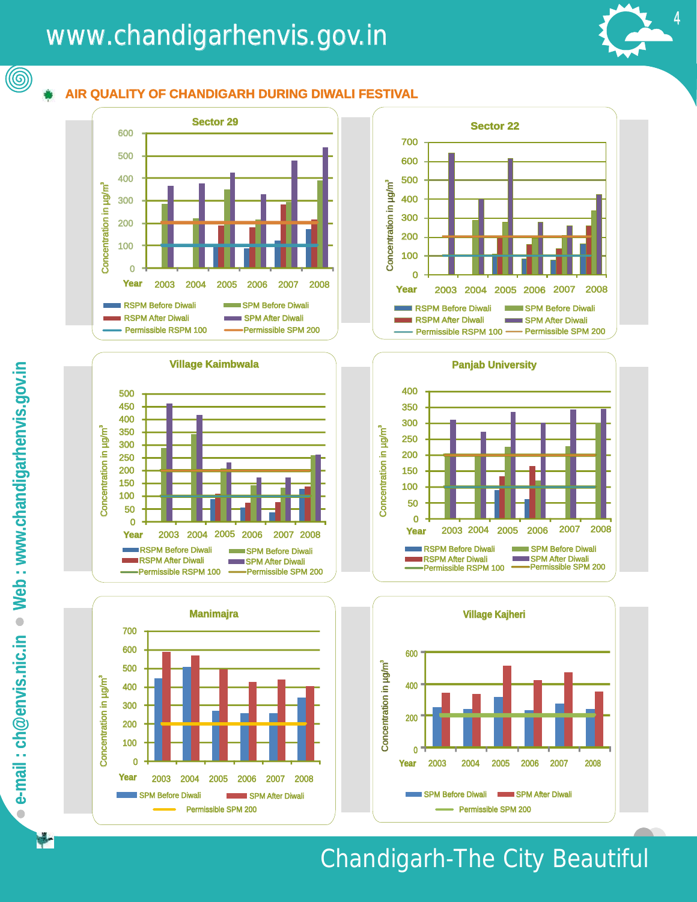### www.chandigarhenvis.gov.in www.chandigarhenvis.gov.in



 $\circledcirc$ 

#### **AIR QUALITY OF CHANDIGARH DURING DIWALI FESTIVAL FESTIVAL**













### Chandigarh-The City Beautiful Beautiful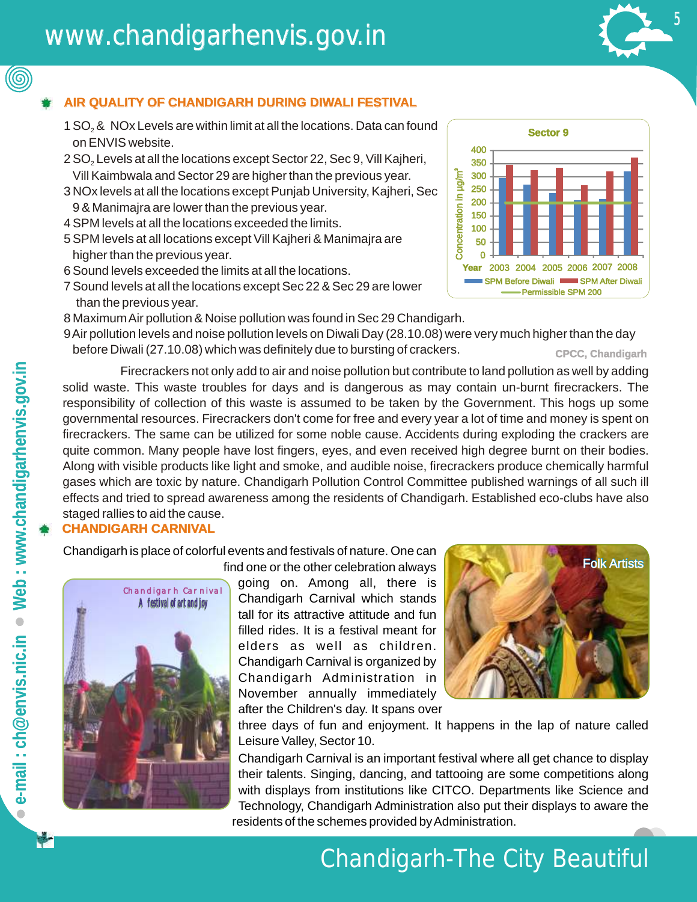### www.chandigarhenvis.gov.in www.chandigarhenvis.gov.in



#### **AIR QUALITY OF CHANDIGARH DURING DIWALI FESTIVAL FESTIVAL**

- 1 SO<sub>2</sub> & NOx Levels are within limit at all the locations. Data can found on ENVIS website.
- 2 SO<sub>2</sub> Levels at all the locations except Sector 22, Sec 9, Vill Kajheri, Vill Kaimbwala and Sector 29 are higher than the previous year.
- 3 NOx levels at all the locations except Punjab University, Kajheri, Sec 9 & Manimajra are lower than the previous year.
- 4 SPM levels at all the locations exceeded the limits.
- 5 SPM levels at all locations except Vill Kajheri & Manimajra are higher than the previous year.
- 6 Sound levels exceeded the limits at all the locations.
- 7 Sound levels at all the locations except Sec 22 & Sec 29 are lower than the previous year.
- 8 MaximumAir pollution & Noise pollution was found in Sec 29 Chandigarh.
- **CPCC, Chandigarh** 9Air pollution levels and noise pollution levels on Diwali Day ([28.10.08](https://28.10.08)) were very much higher than the day

69. Concentration in µg/m<sup>3</sup>  $\Omega$ 50 100 150 200 250 300 350 400 **Year** 2003 2004 2005 2006 2007 2008 **Sector 9** SPM Before Diwali **Dimession SPM After Diwali** Permissible SPM 200

before Diwali ([27.10.08\)](https://27.10.08) which was definitely due to bursting of crackers.<br>Firecrackers not only add to air and noise pollution but contribute to land pollution as well by adding solid waste. This waste troubles for days and is dangerous as may contain un-burnt firecrackers. The responsibility of collection of this waste is assumed to be taken by the Government. This hogs up some governmental resources. Firecrackers don't come for free and every year a lot of time and money is spent on firecrackers. The same can be utilized for some noble cause. Accidents during exploding the crackers are quite common. Many people have lost fingers, eyes, and even received high degree burnt on their bodies. Along with visible products like light and smoke, and audible noise, firecrackers produce chemically harmful gases which are toxic by nature. Chandigarh Pollution Control Committee published warnings of all such ill effects and tried to spread awareness among the residents of Chandigarh. Established eco-clubs have also staged rallies to aid the cause.

#### **CHANDIGARH CARNIVAL CARNIVAL**

Chandigarh is place of colorful events and festivals of nature. One can



going on. Among all, there is Chandigarh Carnival which stands tall for its attractive attitude and fun filled rides. It is a festival meant for elders as well as children. Chandigarh Carnival is organized by Chandigarh Administration in November annually immediately after the Children's day. It spans over find one or the other celebration always



three days of fun and enjoyment. It happens in the lap of nature called Leisure Valley, Sector 10.

Chandigarh Carnival is an important festival where all get chance to display their talents. Singing, dancing, and tattooing are some competitions along with displays from institutions like CITCO. Departments like Science and Technology, Chandigarh Administration also put their displays to aware the residents of the schemes provided by Administration.

(©)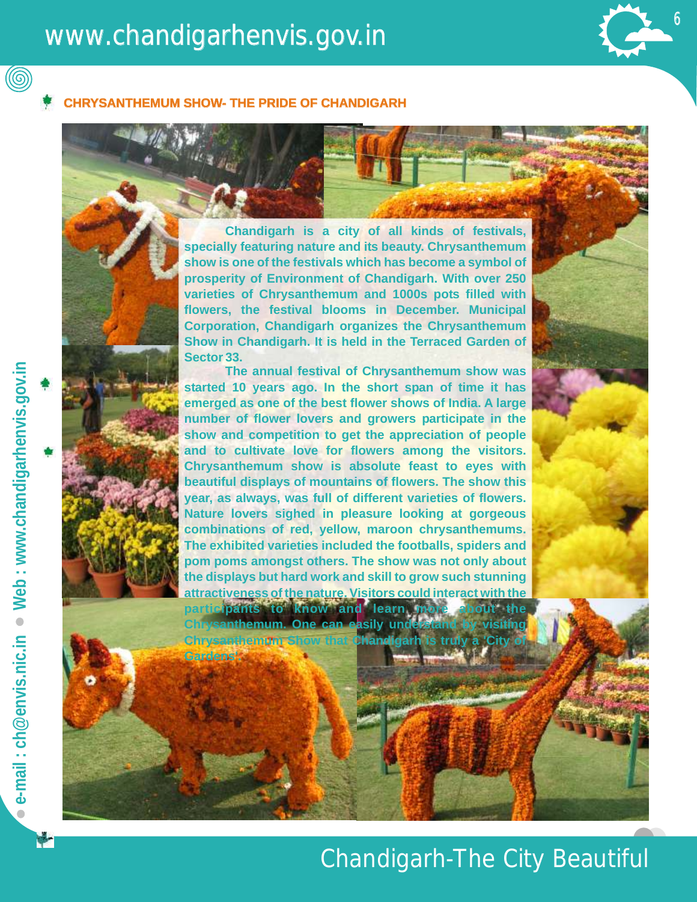### www.chandigarhenvis.gov.in www.chandigarhenvis.gov.in www.chandigarhenvis.gov.in

**Gardens'.** 

6

 $6<sub>1</sub>$ 6

#### **HEMUM SHOW- THE PRIDE OF CHANDIGARH**

**Chandigarh is a city of all kinds of festivals, specially featuring nature and its beauty. Chrysanthemum show is one of the festivals which has become a symbol of prosperity of Environment of Chandigarh. With over 250 varieties of Chrysanthemum and 1000s pots filled with flowers, the festival blooms in December. Municipal Corporation, Chandigarh organizes the Chrysanthemum Show in Chandigarh. It is held in the Terraced Garden of Sector 33.** 

**The annual festival of Chrysanthemum show was started 10 years ago. In the short span of time it has emerged as one of the best flower shows of India. A large number of flower lovers and growers participate in the show and competition to get the appreciation of people and to cultivate love for flowers among the visitors. Chrysanthemum show is absolute feast to eyes with beautiful displays of mountains of flowers. The show this year, as always, was full of different varieties of flowers. Nature lovers sighed in pleasure looking at gorgeous combinations of red, yellow, maroon chrysanthemums. The exhibited varieties included the footballs, spiders and pom poms amongst others. The show was not only about the displays but hard work and skill to grow such stunning attractiveness of the nature. Visitors could interact with the** 

participants to know and learn **<u>Krysanthemum. One can easily und</u> Chrysanthemum Show that Chandigarh is truly a 'City** 

 $\circledcirc$ 

### Chandigarh-The City Beautiful Beautiful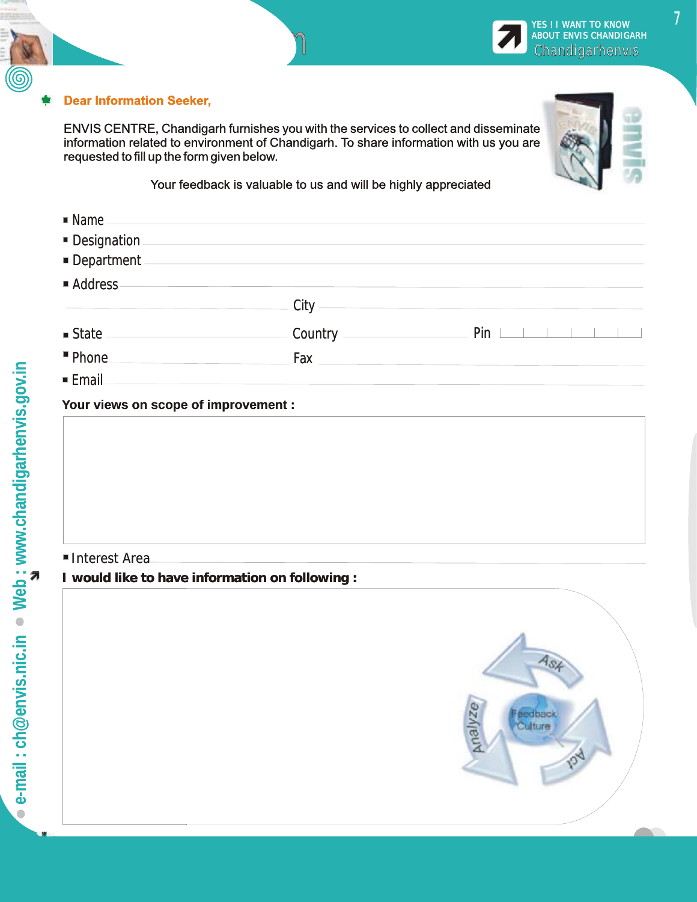

Feedback Form Form

ENVIS CENTRE, Chandigarh furnishes you with the services to collect and disseminate information related to environment of Chandigarh. To share information with us you are requested to fill up the form given below.

Your feedback is valuable to us and will be highly appreciated

| $\blacksquare$ Name |                                                                                                                |                                     |
|---------------------|----------------------------------------------------------------------------------------------------------------|-------------------------------------|
| Designation         |                                                                                                                |                                     |
| Department          |                                                                                                                |                                     |
| Address-            |                                                                                                                |                                     |
|                     | - City ————                                                                                                    |                                     |
|                     |                                                                                                                | $Pin \perp \perp \perp \perp \perp$ |
| " Phone.            | Fax and the state of the state of the state of the state of the state of the state of the state of the state o |                                     |
| ■ Email             |                                                                                                                |                                     |

#### **Your views on scope of improvement : :**

#### Interest Area Area

**I would like to have information on following : :** 





7